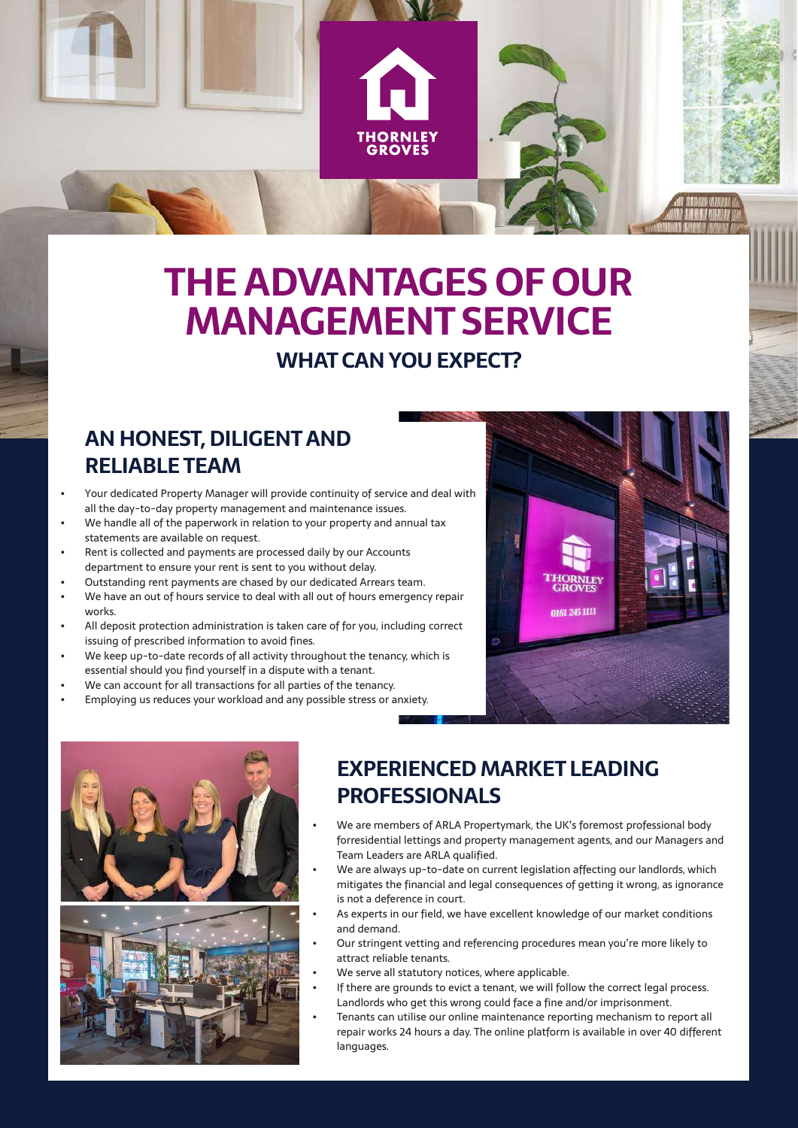# **THE ADVANTAGES OF OUR MANAGEMENT SERVICE**

#### **WHAT CAN YOU EXPECT?**

### **AN HONEST, DILIGENT AND RELIABLE TEAM**

- Your dedicated Property Manager will provide continuity of service and deal with all the day-to-day property management and maintenance issues.
- We handle all of the paperwork in relation to your property and annual tax statements are available on request.
- Rent is collected and payments are processed daily by our Accounts department to ensure your rent is sent to you without delay.
- Outstanding rent payments are chased by our dedicated Arrears team.
- We have an out of hours service to deal with all out of hours emergency repair works.
- All deposit protection administration is taken care of for you, including correct issuing of prescribed information to avoid fines.
- We keep up-to-date records of all activity throughout the tenancy, which is essential should you find yourself in a dispute with a tenant.
- We can account for all transactions for all parties of the tenancy.
- Employing us reduces your workload and any possible stress or anxiety.





### **EXPERIENCED MARKET LEADING PROFESSIONALS**

- We are members of ARLA Propertymark, the UK's foremost professional body forresidential lettings and property management agents, and our Managers and Team Leaders are ARLA qualified.
- We are always up-to-date on current legislation affecting our landlords, which mitigates the financial and legal consequences of getting it wrong, as ignorance is not a deference in court.
- As experts in our field, we have excellent knowledge of our market conditions and demand.
- Our stringent vetting and referencing procedures mean you're more likely to attract reliable tenants.
- We serve all statutory notices, where applicable.
- If there are grounds to evict a tenant, we will follow the correct legal process. Landlords who get this wrong could face a fine and/or imprisonment.
- Tenants can utilise our online maintenance reporting mechanism to report all repair works 24 hours a day. The online platform is available in over 40 different languages.